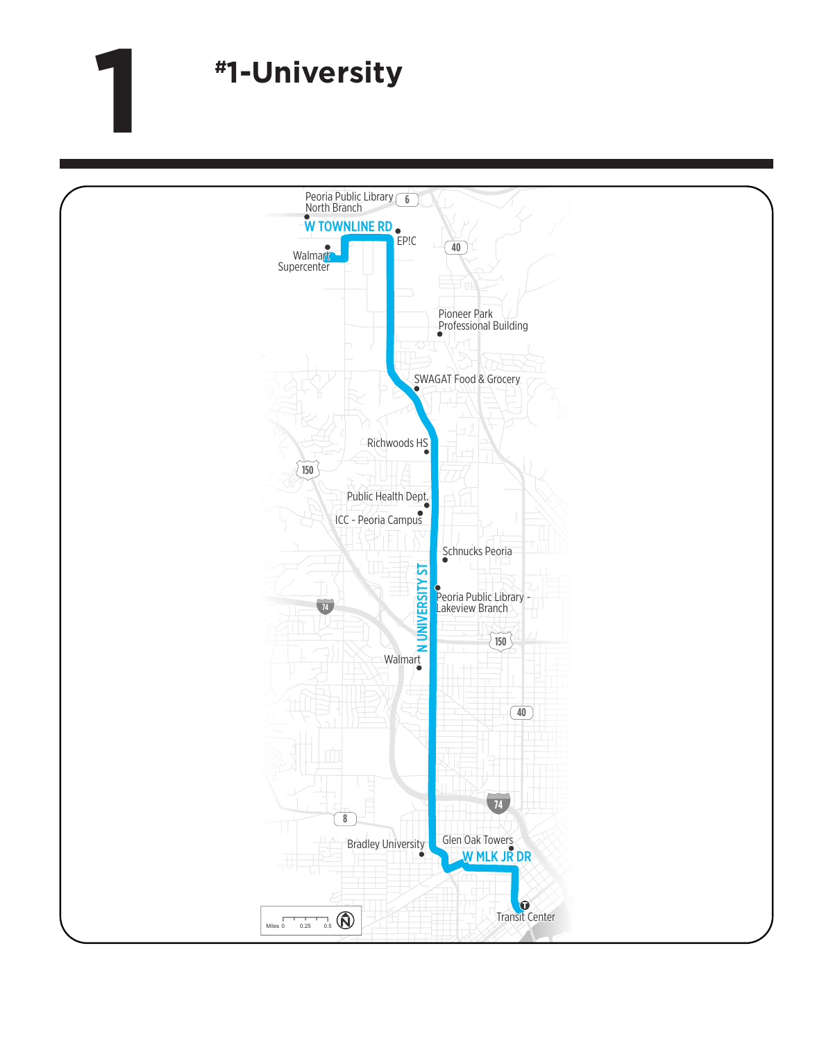## **1 #1-University**